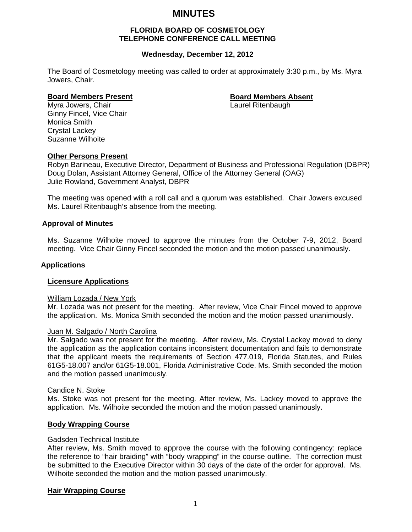# **MINUTES**

## **FLORIDA BOARD OF COSMETOLOGY TELEPHONE CONFERENCE CALL MEETING**

## **Wednesday, December 12, 2012**

The Board of Cosmetology meeting was called to order at approximately 3:30 p.m., by Ms. Myra Jowers, Chair.

### **Board Members Present Communist Communist Board Members Absent**

Myra Jowers, Chair **Laurel Ritenbaugh Laurel Ritenbaugh** Ginny Fincel, Vice Chair Monica Smith Crystal Lackey Suzanne Wilhoite

## **Other Persons Present**

Robyn Barineau, Executive Director, Department of Business and Professional Regulation (DBPR) Doug Dolan, Assistant Attorney General, Office of the Attorney General (OAG) Julie Rowland, Government Analyst, DBPR

The meeting was opened with a roll call and a quorum was established. Chair Jowers excused Ms. Laurel Ritenbaugh's absence from the meeting.

#### **Approval of Minutes**

Ms. Suzanne Wilhoite moved to approve the minutes from the October 7-9, 2012, Board meeting. Vice Chair Ginny Fincel seconded the motion and the motion passed unanimously.

#### **Applications**

#### **Licensure Applications**

#### William Lozada / New York

Mr. Lozada was not present for the meeting. After review, Vice Chair Fincel moved to approve the application. Ms. Monica Smith seconded the motion and the motion passed unanimously.

#### Juan M. Salgado / North Carolina

Mr. Salgado was not present for the meeting. After review, Ms. Crystal Lackey moved to deny the application as the application contains inconsistent documentation and fails to demonstrate that the applicant meets the requirements of Section 477.019, Florida Statutes, and Rules 61G5-18.007 and/or 61G5-18.001, Florida Administrative Code. Ms. Smith seconded the motion and the motion passed unanimously.

#### Candice N. Stoke

Ms. Stoke was not present for the meeting. After review, Ms. Lackey moved to approve the application. Ms. Wilhoite seconded the motion and the motion passed unanimously.

## **Body Wrapping Course**

#### Gadsden Technical Institute

After review, Ms. Smith moved to approve the course with the following contingency: replace the reference to "hair braiding" with "body wrapping" in the course outline. The correction must be submitted to the Executive Director within 30 days of the date of the order for approval. Ms. Wilhoite seconded the motion and the motion passed unanimously.

## **Hair Wrapping Course**